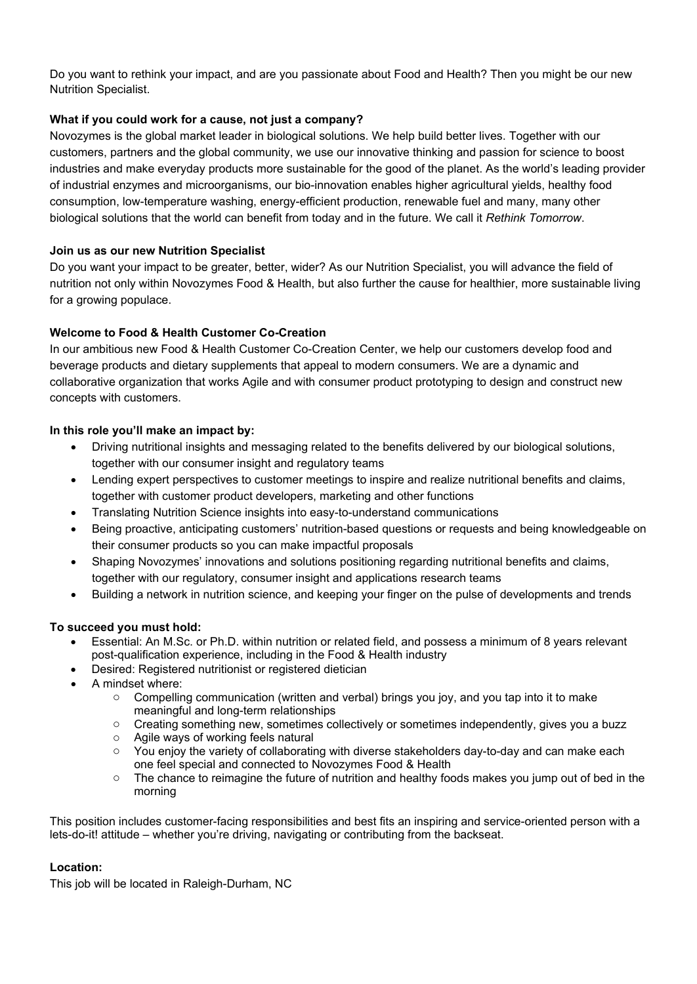Do you want to rethink your impact, and are you passionate about Food and Health? Then you might be our new Nutrition Specialist.

# **What if you could work for a cause, not just a company?**

Novozymes is the global market leader in biological solutions. We help build better lives. Together with our customers, partners and the global community, we use our innovative thinking and passion for science to boost industries and make everyday products more sustainable for the good of the planet. As the world's leading provider of industrial enzymes and microorganisms, our bio-innovation enables higher agricultural yields, healthy food consumption, low-temperature washing, energy-efficient production, renewable fuel and many, many other biological solutions that the world can benefit from today and in the future. We call it *Rethink Tomorrow*.

## **Join us as our new Nutrition Specialist**

Do you want your impact to be greater, better, wider? As our Nutrition Specialist, you will advance the field of nutrition not only within Novozymes Food & Health, but also further the cause for healthier, more sustainable living for a growing populace.

# **Welcome to Food & Health Customer Co-Creation**

In our ambitious new Food & Health Customer Co-Creation Center, we help our customers develop food and beverage products and dietary supplements that appeal to modern consumers. We are a dynamic and collaborative organization that works Agile and with consumer product prototyping to design and construct new concepts with customers.

## **In this role you'll make an impact by:**

- Driving nutritional insights and messaging related to the benefits delivered by our biological solutions, together with our consumer insight and regulatory teams
- Lending expert perspectives to customer meetings to inspire and realize nutritional benefits and claims, together with customer product developers, marketing and other functions
- Translating Nutrition Science insights into easy-to-understand communications
- Being proactive, anticipating customers' nutrition-based questions or requests and being knowledgeable on their consumer products so you can make impactful proposals
- Shaping Novozymes' innovations and solutions positioning regarding nutritional benefits and claims, together with our regulatory, consumer insight and applications research teams
- Building a network in nutrition science, and keeping your finger on the pulse of developments and trends

# **To succeed you must hold:**

- Essential: An M.Sc. or Ph.D. within nutrition or related field, and possess a minimum of 8 years relevant post-qualification experience, including in the Food & Health industry
- Desired: Registered nutritionist or registered dietician
- A mindset where:
	- o Compelling communication (written and verbal) brings you joy, and you tap into it to make meaningful and long-term relationships
	- o Creating something new, sometimes collectively or sometimes independently, gives you a buzz
	- o Agile ways of working feels natural
	- o You enjoy the variety of collaborating with diverse stakeholders day-to-day and can make each one feel special and connected to Novozymes Food & Health
	- $\circ$  The chance to reimagine the future of nutrition and healthy foods makes you jump out of bed in the morning

This position includes customer-facing responsibilities and best fits an inspiring and service-oriented person with a lets-do-it! attitude – whether you're driving, navigating or contributing from the backseat.

#### **Location:**

This job will be located in Raleigh-Durham, NC